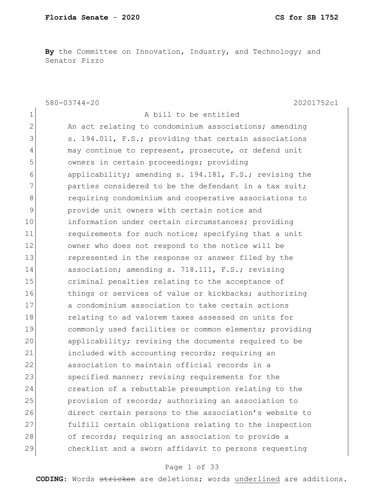By the Committee on Innovation, Industry, and Technology; and Senator Pizzo

580-03744-20 20201752c1

| $\mathbf 1$   | A bill to be entitled                                  |
|---------------|--------------------------------------------------------|
| 2             | An act relating to condominium associations; amending  |
| 3             | s. 194.011, F.S.; providing that certain associations  |
| 4             | may continue to represent, prosecute, or defend unit   |
| 5             | owners in certain proceedings; providing               |
| 6             | applicability; amending s. 194.181, F.S.; revising the |
| 7             | parties considered to be the defendant in a tax suit;  |
| 8             | requiring condominium and cooperative associations to  |
| $\mathcal{G}$ | provide unit owners with certain notice and            |
| 10            | information under certain circumstances; providing     |
| 11            | requirements for such notice; specifying that a unit   |
| 12            | owner who does not respond to the notice will be       |
| 13            | represented in the response or answer filed by the     |
| 14            | association; amending s. 718.111, F.S.; revising       |
| 15            | criminal penalties relating to the acceptance of       |
| 16            | things or services of value or kickbacks; authorizing  |
| 17            | a condominium association to take certain actions      |
| 18            | relating to ad valorem taxes assessed on units for     |
| 19            | commonly used facilities or common elements; providing |
| 20            | applicability; revising the documents required to be   |
| 21            | included with accounting records; requiring an         |
| 22            | association to maintain official records in a          |
| 23            | specified manner; revising requirements for the        |
| 24            | creation of a rebuttable presumption relating to the   |
| 25            | provision of records; authorizing an association to    |
| 26            | direct certain persons to the association's website to |
| 27            | fulfill certain obligations relating to the inspection |
| 28            | of records; requiring an association to provide a      |
| 29            | checklist and a sworn affidavit to persons requesting  |

## Page 1 of 33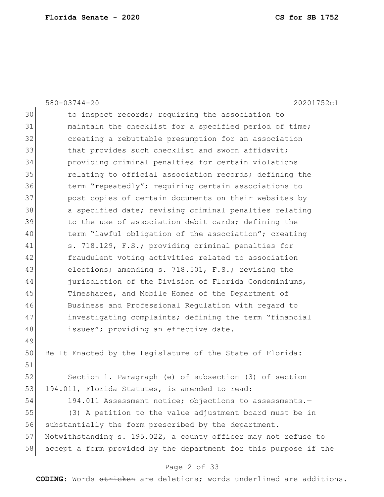|    | $580 - 03744 - 20$<br>20201752c1                                 |
|----|------------------------------------------------------------------|
| 30 | to inspect records; requiring the association to                 |
| 31 | maintain the checklist for a specified period of time;           |
| 32 | creating a rebuttable presumption for an association             |
| 33 | that provides such checklist and sworn affidavit;                |
| 34 | providing criminal penalties for certain violations              |
| 35 | relating to official association records; defining the           |
| 36 | term "repeatedly"; requiring certain associations to             |
| 37 | post copies of certain documents on their websites by            |
| 38 | a specified date; revising criminal penalties relating           |
| 39 | to the use of association debit cards; defining the              |
| 40 | term "lawful obligation of the association"; creating            |
| 41 | s. 718.129, F.S.; providing criminal penalties for               |
| 42 | fraudulent voting activities related to association              |
| 43 | elections; amending s. 718.501, F.S.; revising the               |
| 44 | jurisdiction of the Division of Florida Condominiums,            |
| 45 | Timeshares, and Mobile Homes of the Department of                |
| 46 | Business and Professional Regulation with regard to              |
| 47 | investigating complaints; defining the term "financial           |
| 48 | issues"; providing an effective date.                            |
| 49 |                                                                  |
| 50 | Be It Enacted by the Legislature of the State of Florida:        |
| 51 |                                                                  |
| 52 | Section 1. Paragraph (e) of subsection (3) of section            |
| 53 | 194.011, Florida Statutes, is amended to read:                   |
| 54 | 194.011 Assessment notice; objections to assessments.-           |
| 55 | (3) A petition to the value adjustment board must be in          |
| 56 | substantially the form prescribed by the department.             |
| 57 | Notwithstanding s. 195.022, a county officer may not refuse to   |
| 58 | accept a form provided by the department for this purpose if the |
|    |                                                                  |

## Page 2 of 33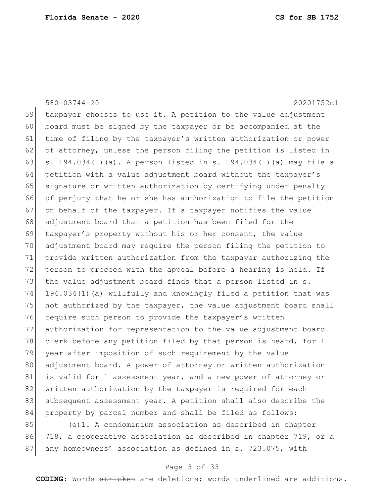# 59 taxpayer chooses to use it. A petition to the value adjustment 60 board must be signed by the taxpayer or be accompanied at the 61 time of filing by the taxpayer's written authorization or power 62 of attorney, unless the person filing the petition is listed in 63 s. 194.034(1)(a). A person listed in s. 194.034(1)(a) may file a 64 petition with a value adjustment board without the taxpayer's 65 signature or written authorization by certifying under penalty 66 of perjury that he or she has authorization to file the petition 67 on behalf of the taxpayer. If a taxpayer notifies the value 68 adjustment board that a petition has been filed for the 69 taxpayer's property without his or her consent, the value 70 adjustment board may require the person filing the petition to 71 provide written authorization from the taxpayer authorizing the 72 person to proceed with the appeal before a hearing is held. If 73 the value adjustment board finds that a person listed in s. 74 194.034(1)(a) willfully and knowingly filed a petition that was 75 not authorized by the taxpayer, the value adjustment board shall 76 require such person to provide the taxpayer's written 77 authorization for representation to the value adjustment board 78 clerk before any petition filed by that person is heard, for 1 79 year after imposition of such requirement by the value 80 adjustment board. A power of attorney or written authorization 81 is valid for 1 assessment year, and a new power of attorney or 82 written authorization by the taxpayer is required for each 83 subsequent assessment year. A petition shall also describe the 84 property by parcel number and shall be filed as follows: 85 (e)1. A condominium association as described in chapter 86 718, a cooperative association as described in chapter 719, or a 87 any homeowners' association as defined in s. 723.075, with

580-03744-20 20201752c1

#### Page 3 of 33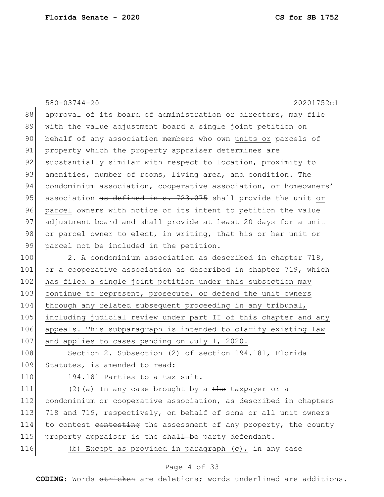|     | $580 - 03744 - 20$<br>20201752c1                                 |
|-----|------------------------------------------------------------------|
| 88  | approval of its board of administration or directors, may file   |
| 89  | with the value adjustment board a single joint petition on       |
| 90  | behalf of any association members who own units or parcels of    |
| 91  | property which the property appraiser determines are             |
| 92  | substantially similar with respect to location, proximity to     |
| 93  | amenities, number of rooms, living area, and condition. The      |
| 94  | condominium association, cooperative association, or homeowners' |
| 95  | association as defined in s. 723.075 shall provide the unit or   |
| 96  | parcel owners with notice of its intent to petition the value    |
| 97  | adjustment board and shall provide at least 20 days for a unit   |
| 98  | or parcel owner to elect, in writing, that his or her unit or    |
| 99  | parcel not be included in the petition.                          |
| 100 | 2. A condominium association as described in chapter 718,        |
| 101 | or a cooperative association as described in chapter 719, which  |
| 102 | has filed a single joint petition under this subsection may      |
| 103 | continue to represent, prosecute, or defend the unit owners      |
| 104 | through any related subsequent proceeding in any tribunal,       |
| 105 | including judicial review under part II of this chapter and any  |
| 106 | appeals. This subparagraph is intended to clarify existing law   |
| 107 | and applies to cases pending on July 1, 2020.                    |
| 108 | Section 2. Subsection (2) of section 194.181, Florida            |
| 109 | Statutes, is amended to read:                                    |
| 110 | 194.181 Parties to a tax suit.-                                  |
| 111 | $(2)$ (a) In any case brought by a the taxpayer or a             |
| 112 | condominium or cooperative association, as described in chapters |
| 113 | 718 and 719, respectively, on behalf of some or all unit owners  |
| 114 | to contest contesting the assessment of any property, the county |
| 115 | property appraiser is the shall be party defendant.              |
| 116 | (b) Except as provided in paragraph (c), in any case             |
|     |                                                                  |

## Page 4 of 33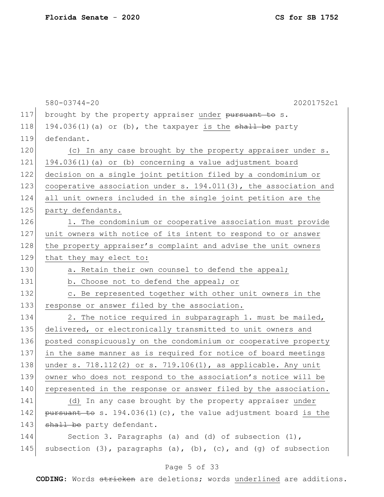|     | $580 - 03744 - 20$<br>20201752c1                                              |
|-----|-------------------------------------------------------------------------------|
| 117 | brought by the property appraiser under pursuant to s.                        |
| 118 | 194.036(1)(a) or (b), the taxpayer is the shall be party                      |
| 119 | defendant.                                                                    |
| 120 | (c) In any case brought by the property appraiser under s.                    |
| 121 | 194.036(1)(a) or (b) concerning a value adjustment board                      |
| 122 | decision on a single joint petition filed by a condominium or                 |
| 123 | cooperative association under s. 194.011(3), the association and              |
| 124 | all unit owners included in the single joint petition are the                 |
| 125 | party defendants.                                                             |
| 126 | 1. The condominium or cooperative association must provide                    |
| 127 | unit owners with notice of its intent to respond to or answer                 |
| 128 | the property appraiser's complaint and advise the unit owners                 |
| 129 | that they may elect to:                                                       |
| 130 | a. Retain their own counsel to defend the appeal;                             |
| 131 | b. Choose not to defend the appeal; or                                        |
| 132 | c. Be represented together with other unit owners in the                      |
| 133 | response or answer filed by the association.                                  |
| 134 | 2. The notice required in subparagraph 1. must be mailed,                     |
| 135 | delivered, or electronically transmitted to unit owners and                   |
| 136 | posted conspicuously on the condominium or cooperative property               |
| 137 | in the same manner as is required for notice of board meetings                |
| 138 | under s. $718.112(2)$ or s. $719.106(1)$ , as applicable. Any unit            |
| 139 | owner who does not respond to the association's notice will be                |
| 140 | represented in the response or answer filed by the association.               |
| 141 | (d) In any case brought by the property appraiser under                       |
| 142 | pursuant to s. $194.036(1)(c)$ , the value adjustment board is the            |
| 143 | shall be party defendant.                                                     |
| 144 | Section 3. Paragraphs (a) and (d) of subsection $(1)$ ,                       |
| 145 | subsection $(3)$ , paragraphs $(a)$ , $(b)$ , $(c)$ , and $(g)$ of subsection |

## Page 5 of 33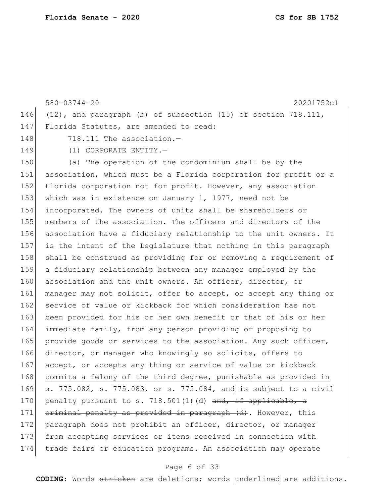580-03744-20 20201752c1 146 (12), and paragraph (b) of subsection (15) of section 718.111, 147 Florida Statutes, are amended to read: 148 718.111 The association.-149 (1) CORPORATE ENTITY. 150 (a) The operation of the condominium shall be by the 151 association, which must be a Florida corporation for profit or a 152 Florida corporation not for profit. However, any association 153 which was in existence on January 1, 1977, need not be 154 incorporated. The owners of units shall be shareholders or 155 members of the association. The officers and directors of the 156 association have a fiduciary relationship to the unit owners. It 157 is the intent of the Legislature that nothing in this paragraph 158 shall be construed as providing for or removing a requirement of 159 a fiduciary relationship between any manager employed by the 160 association and the unit owners. An officer, director, or 161 manager may not solicit, offer to accept, or accept any thing or 162 service of value or kickback for which consideration has not 163 been provided for his or her own benefit or that of his or her 164 immediate family, from any person providing or proposing to 165 provide goods or services to the association. Any such officer, 166 director, or manager who knowingly so solicits, offers to 167 accept, or accepts any thing or service of value or kickback 168 commits a felony of the third degree, punishable as provided in 169 s. 775.082, s. 775.083, or s. 775.084, and is subject to a civil 170 penalty pursuant to s. 718.501(1)(d)  $\frac{170}{15}$  applicable, a 171 criminal penalty as provided in paragraph (d). However, this 172 paragraph does not prohibit an officer, director, or manager 173 from accepting services or items received in connection with 174 trade fairs or education programs. An association may operate

#### Page 6 of 33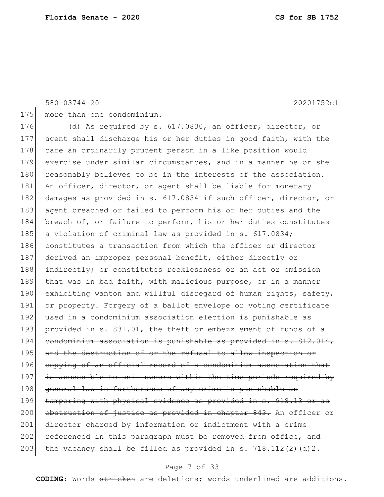580-03744-20 20201752c1

175 more than one condominium.

176 (d) As required by s. 617.0830, an officer, director, or 177 agent shall discharge his or her duties in good faith, with the 178 care an ordinarily prudent person in a like position would 179 exercise under similar circumstances, and in a manner he or she 180 reasonably believes to be in the interests of the association. 181 An officer, director, or agent shall be liable for monetary 182 damages as provided in s. 617.0834 if such officer, director, or 183 agent breached or failed to perform his or her duties and the 184 breach of, or failure to perform, his or her duties constitutes 185 a violation of criminal law as provided in s. 617.0834; 186 constitutes a transaction from which the officer or director 187 derived an improper personal benefit, either directly or 188 indirectly; or constitutes recklessness or an act or omission 189 that was in bad faith, with malicious purpose, or in a manner 190 exhibiting wanton and willful disregard of human rights, safety, 191 or property. Forgery of a ballot envelope or voting certificate 192 used in a condominium association election is punishable as 193 provided in s. 831.01, the theft or embezzlement of funds of a 194 condominium association is punishable as provided in s. 812.014, 195 and the destruction of or the refusal to allow inspection or 196 copying of an official record of a condominium association that 197 is accessible to unit owners within the time periods required by 198 general law in furtherance of any crime is punishable as 199 tampering with physical evidence as provided in s. 918.13 or as 200 obstruction of justice as provided in chapter 843. An officer or 201 director charged by information or indictment with a crime 202 referenced in this paragraph must be removed from office, and 203 the vacancy shall be filled as provided in s.  $718.112(2)(d)2$ .

#### Page 7 of 33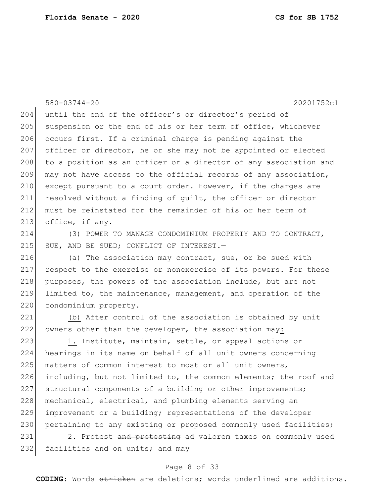580-03744-20 20201752c1 204 until the end of the officer's or director's period of 205 suspension or the end of his or her term of office, whichever 206 occurs first. If a criminal charge is pending against the 207 officer or director, he or she may not be appointed or elected 208 to a position as an officer or a director of any association and 209 may not have access to the official records of any association, 210 except pursuant to a court order. However, if the charges are 211 resolved without a finding of guilt, the officer or director 212 must be reinstated for the remainder of his or her term of 213 office, if any.

214 (3) POWER TO MANAGE CONDOMINIUM PROPERTY AND TO CONTRACT, 215 SUE, AND BE SUED; CONFLICT OF INTEREST.-

216 (a) The association may contract, sue, or be sued with 217 respect to the exercise or nonexercise of its powers. For these 218 purposes, the powers of the association include, but are not 219 limited to, the maintenance, management, and operation of the 220 condominium property.

221 (b) After control of the association is obtained by unit 222 owners other than the developer, the association may:

223 1. Institute, maintain, settle, or appeal actions or 224 hearings in its name on behalf of all unit owners concerning 225 matters of common interest to most or all unit owners, 226 including, but not limited to, the common elements; the roof and 227 structural components of a building or other improvements; 228 mechanical, electrical, and plumbing elements serving an 229 improvement or a building; representations of the developer 230 pertaining to any existing or proposed commonly used facilities;

231 2. Protest and protesting ad valorem taxes on commonly used 232 facilities and on units;  $\frac{and}{may}$ 

#### Page 8 of 33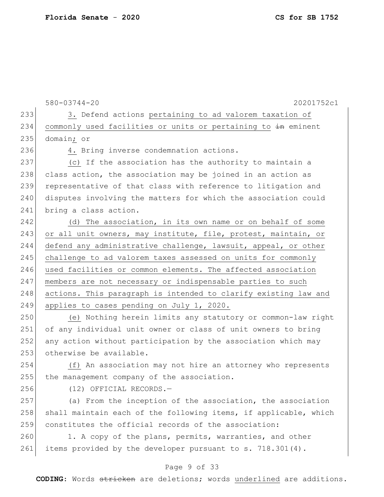580-03744-20 20201752c1 233 3. Defend actions pertaining to ad valorem taxation of 234 commonly used facilities or units or pertaining to in eminent 235 domain; or 236 4. Bring inverse condemnation actions. 237 (c) If the association has the authority to maintain a 238 class action, the association may be joined in an action as 239 representative of that class with reference to litigation and 240 disputes involving the matters for which the association could 241 bring a class action. 242 (d) The association, in its own name or on behalf of some 243 or all unit owners, may institute, file, protest, maintain, or 244 defend any administrative challenge, lawsuit, appeal, or other 245 challenge to ad valorem taxes assessed on units for commonly 246 used facilities or common elements. The affected association 247 members are not necessary or indispensable parties to such 248 actions. This paragraph is intended to clarify existing law and 249 applies to cases pending on July 1, 2020. 250 (e) Nothing herein limits any statutory or common-law right 251 of any individual unit owner or class of unit owners to bring 252 any action without participation by the association which may 253 otherwise be available. 254 (f) An association may not hire an attorney who represents 255 the management company of the association. 256 (12) OFFICIAL RECORDS.— 257 (a) From the inception of the association, the association  $258$  shall maintain each of the following items, if applicable, which 259 constitutes the official records of the association:

260 1. A copy of the plans, permits, warranties, and other 261 items provided by the developer pursuant to s. 718.301(4).

#### Page 9 of 33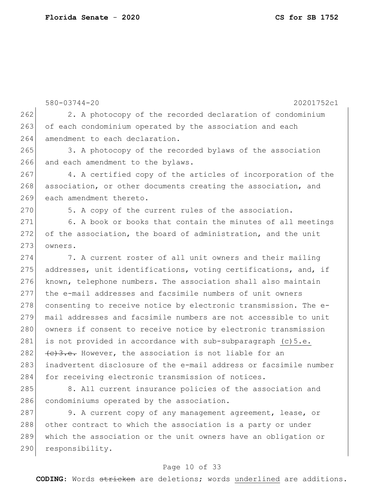580-03744-20 20201752c1 262 2. A photocopy of the recorded declaration of condominium 263 of each condominium operated by the association and each 264 amendment to each declaration. 265 3. A photocopy of the recorded bylaws of the association 266 and each amendment to the bylaws. 267 4. A certified copy of the articles of incorporation of the 268 association, or other documents creating the association, and 269 each amendment thereto. 270 5. A copy of the current rules of the association. 271 6. A book or books that contain the minutes of all meetings 272 of the association, the board of administration, and the unit 273 owners. 274 7. A current roster of all unit owners and their mailing 275 addresses, unit identifications, voting certifications, and, if 276 known, telephone numbers. The association shall also maintain 277 the e-mail addresses and facsimile numbers of unit owners 278 consenting to receive notice by electronic transmission. The e-279 mail addresses and facsimile numbers are not accessible to unit 280 owners if consent to receive notice by electronic transmission 281 is not provided in accordance with sub-subparagraph  $(c)5.e.$ 282  $\left( e\right)$  +  $\left( e\right)$  +  $\left( e\right)$  +  $\left( e\right)$  +  $\left( e\right)$  +  $\left( e\right)$  +  $\left( e\right)$  +  $\left( e\right)$  +  $\left( e\right)$  +  $\left( e\right)$  +  $\left( e\right)$  +  $\left( e\right)$  +  $\left( e\right)$  +  $\left( e\right)$  +  $\left( e\right)$  +  $\left( e\right)$  +  $\left( e\right)$  +  $\left( e\right)$  + 283 inadvertent disclosure of the e-mail address or facsimile number 284 for receiving electronic transmission of notices. 285 8. All current insurance policies of the association and 286 condominiums operated by the association. 287 9. A current copy of any management agreement, lease, or

288 other contract to which the association is a party or under 289 which the association or the unit owners have an obligation or 290 responsibility.

#### Page 10 of 33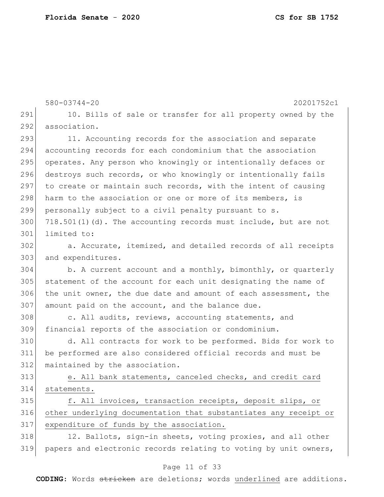580-03744-20 20201752c1 291 10. Bills of sale or transfer for all property owned by the 292 association. 293 11. Accounting records for the association and separate accounting records for each condominium that the association 295 operates. Any person who knowingly or intentionally defaces or destroys such records, or who knowingly or intentionally fails 297 to create or maintain such records, with the intent of causing 298 harm to the association or one or more of its members, is personally subject to a civil penalty pursuant to s. 718.501(1)(d). The accounting records must include, but are not limited to: a. Accurate, itemized, and detailed records of all receipts 303 and expenditures. b. A current account and a monthly, bimonthly, or quarterly statement of the account for each unit designating the name of the unit owner, the due date and amount of each assessment, the amount paid on the account, and the balance due. 308 c. All audits, reviews, accounting statements, and financial reports of the association or condominium. d. All contracts for work to be performed. Bids for work to be performed are also considered official records and must be maintained by the association. e. All bank statements, canceled checks, and credit card statements. 315 f. All invoices, transaction receipts, deposit slips, or other underlying documentation that substantiates any receipt or expenditure of funds by the association. 318 12. Ballots, sign-in sheets, voting proxies, and all other papers and electronic records relating to voting by unit owners,

#### Page 11 of 33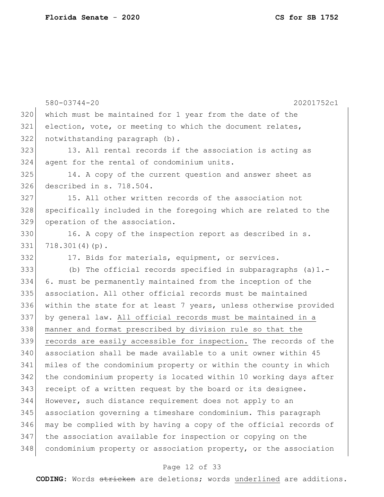|     | $580 - 03744 - 20$<br>20201752c1                                 |
|-----|------------------------------------------------------------------|
| 320 | which must be maintained for 1 year from the date of the         |
| 321 | election, vote, or meeting to which the document relates,        |
| 322 | notwithstanding paragraph (b).                                   |
| 323 | 13. All rental records if the association is acting as           |
| 324 | agent for the rental of condominium units.                       |
| 325 | 14. A copy of the current question and answer sheet as           |
| 326 | described in s. 718.504.                                         |
| 327 | 15. All other written records of the association not             |
| 328 | specifically included in the foregoing which are related to the  |
| 329 | operation of the association.                                    |
| 330 | 16. A copy of the inspection report as described in s.           |
| 331 | $718.301(4)(p)$ .                                                |
| 332 | 17. Bids for materials, equipment, or services.                  |
| 333 | (b) The official records specified in subparagraphs $(a) 1. -$   |
| 334 | 6. must be permanently maintained from the inception of the      |
| 335 | association. All other official records must be maintained       |
| 336 | within the state for at least 7 years, unless otherwise provided |
| 337 | by general law. All official records must be maintained in a     |
| 338 | manner and format prescribed by division rule so that the        |
| 339 | records are easily accessible for inspection. The records of the |
| 340 | association shall be made available to a unit owner within 45    |
| 341 | miles of the condominium property or within the county in which  |
| 342 | the condominium property is located within 10 working days after |
| 343 | receipt of a written request by the board or its designee.       |
| 344 | However, such distance requirement does not apply to an          |
| 345 | association governing a timeshare condominium. This paragraph    |
| 346 | may be complied with by having a copy of the official records of |
| 347 | the association available for inspection or copying on the       |
| 348 | condominium property or association property, or the association |

## Page 12 of 33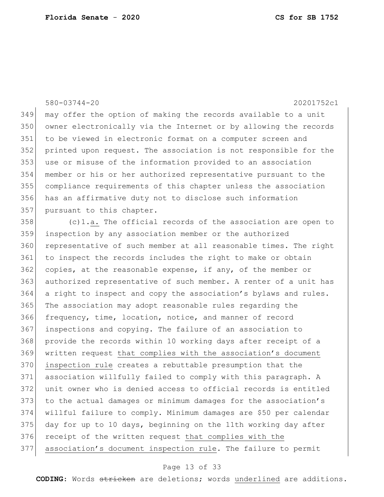#### 580-03744-20 20201752c1

 may offer the option of making the records available to a unit owner electronically via the Internet or by allowing the records to be viewed in electronic format on a computer screen and printed upon request. The association is not responsible for the use or misuse of the information provided to an association member or his or her authorized representative pursuant to the compliance requirements of this chapter unless the association has an affirmative duty not to disclose such information 357 pursuant to this chapter.

 (c)1.a. The official records of the association are open to inspection by any association member or the authorized representative of such member at all reasonable times. The right to inspect the records includes the right to make or obtain copies, at the reasonable expense, if any, of the member or authorized representative of such member. A renter of a unit has 364 a right to inspect and copy the association's bylaws and rules. The association may adopt reasonable rules regarding the frequency, time, location, notice, and manner of record inspections and copying. The failure of an association to provide the records within 10 working days after receipt of a written request that complies with the association's document inspection rule creates a rebuttable presumption that the association willfully failed to comply with this paragraph. A unit owner who is denied access to official records is entitled to the actual damages or minimum damages for the association's willful failure to comply. Minimum damages are \$50 per calendar day for up to 10 days, beginning on the 11th working day after receipt of the written request that complies with the association's document inspection rule. The failure to permit

#### Page 13 of 33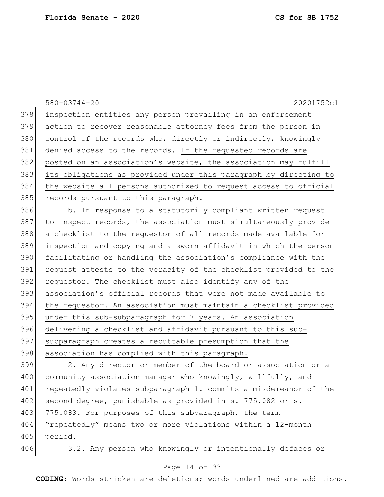|     | 20201752c1<br>$580 - 03744 - 20$                                 |
|-----|------------------------------------------------------------------|
| 378 | inspection entitles any person prevailing in an enforcement      |
| 379 | action to recover reasonable attorney fees from the person in    |
| 380 | control of the records who, directly or indirectly, knowingly    |
| 381 | denied access to the records. If the requested records are       |
| 382 | posted on an association's website, the association may fulfill  |
| 383 | its obligations as provided under this paragraph by directing to |
| 384 | the website all persons authorized to request access to official |
| 385 | records pursuant to this paragraph.                              |
| 386 | b. In response to a statutorily compliant written request        |
| 387 | to inspect records, the association must simultaneously provide  |
| 388 | a checklist to the requestor of all records made available for   |
| 389 | inspection and copying and a sworn affidavit in which the person |
| 390 | facilitating or handling the association's compliance with the   |
| 391 | request attests to the veracity of the checklist provided to the |
| 392 | requestor. The checklist must also identify any of the           |
| 393 | association's official records that were not made available to   |
| 394 | the requestor. An association must maintain a checklist provided |
| 395 | under this sub-subparagraph for 7 years. An association          |
| 396 | delivering a checklist and affidavit pursuant to this sub-       |
| 397 | subparagraph creates a rebuttable presumption that the           |
| 398 | association has complied with this paragraph.                    |
| 399 | 2. Any director or member of the board or association or a       |
| 400 | community association manager who knowingly, willfully, and      |
| 401 | repeatedly violates subparagraph 1. commits a misdemeanor of the |
| 402 | second degree, punishable as provided in s. 775.082 or s.        |
| 403 | 775.083. For purposes of this subparagraph, the term             |
| 404 | "repeatedly" means two or more violations within a 12-month      |
| 405 | period.                                                          |
| 406 | 3.2. Any person who knowingly or intentionally defaces or        |

## Page 14 of 33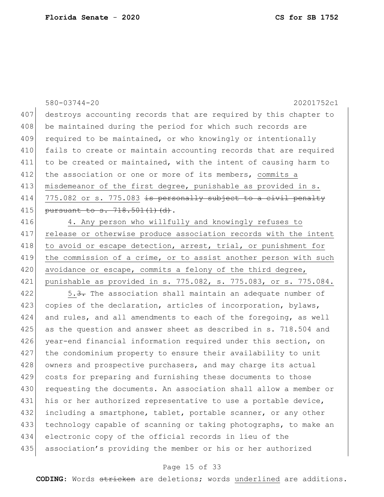580-03744-20 20201752c1 407 destroys accounting records that are required by this chapter to 408 be maintained during the period for which such records are 409 required to be maintained, or who knowingly or intentionally 410 fails to create or maintain accounting records that are required 411 to be created or maintained, with the intent of causing harm to 412 the association or one or more of its members, commits a 413 misdemeanor of the first degree, punishable as provided in s. 414  $775.082$  or s. 775.083 is personally subject to a civil penalty 415 pursuant to s. 718.501(1)(d). 416 4. Any person who willfully and knowingly refuses to 417 release or otherwise produce association records with the intent 418 to avoid or escape detection, arrest, trial, or punishment for 419 the commission of a crime, or to assist another person with such 420 avoidance or escape, commits a felony of the third degree, 421 punishable as provided in s. 775.082, s. 775.083, or s. 775.084.  $422$  5.3. The association shall maintain an adequate number of 423 copies of the declaration, articles of incorporation, bylaws, 424 and rules, and all amendments to each of the foregoing, as well 425 as the question and answer sheet as described in s. 718.504 and 426 year-end financial information required under this section, on 427 the condominium property to ensure their availability to unit 428 owners and prospective purchasers, and may charge its actual 429 costs for preparing and furnishing these documents to those

430 requesting the documents. An association shall allow a member or 431 his or her authorized representative to use a portable device, 432 including a smartphone, tablet, portable scanner, or any other 433 technology capable of scanning or taking photographs, to make an 434 electronic copy of the official records in lieu of the 435 association's providing the member or his or her authorized

#### Page 15 of 33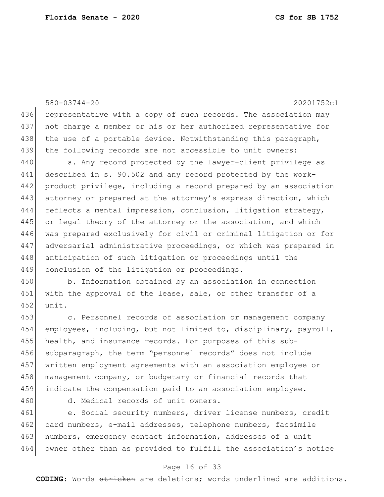580-03744-20 20201752c1 436 representative with a copy of such records. The association may 437 not charge a member or his or her authorized representative for 438 the use of a portable device. Notwithstanding this paragraph, 439 the following records are not accessible to unit owners: 440 a. Any record protected by the lawyer-client privilege as 441 described in s. 90.502 and any record protected by the work-442 product privilege, including a record prepared by an association 443 attorney or prepared at the attorney's express direction, which 444 reflects a mental impression, conclusion, litigation strategy, 445 or legal theory of the attorney or the association, and which 446 was prepared exclusively for civil or criminal litigation or for 447 adversarial administrative proceedings, or which was prepared in 448 anticipation of such litigation or proceedings until the 449 conclusion of the litigation or proceedings. 450 b. Information obtained by an association in connection 451 with the approval of the lease, sale, or other transfer of a 452 unit. 453 c. Personnel records of association or management company 454 employees, including, but not limited to, disciplinary, payroll, 455 health, and insurance records. For purposes of this sub-

 subparagraph, the term "personnel records" does not include written employment agreements with an association employee or 458 management company, or budgetary or financial records that indicate the compensation paid to an association employee.

460 d. Medical records of unit owners.

461 e. Social security numbers, driver license numbers, credit 462 card numbers, e-mail addresses, telephone numbers, facsimile 463 | numbers, emergency contact information, addresses of a unit 464 owner other than as provided to fulfill the association's notice

#### Page 16 of 33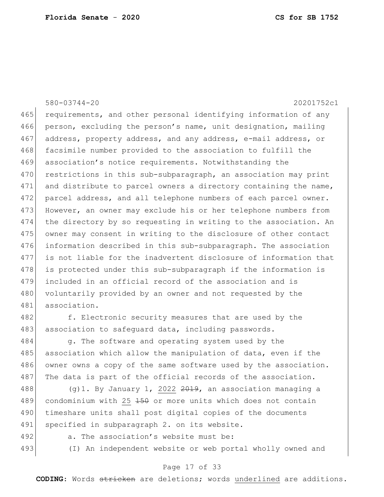580-03744-20 20201752c1 465 requirements, and other personal identifying information of any 466 person, excluding the person's name, unit designation, mailing 467 address, property address, and any address, e-mail address, or 468 facsimile number provided to the association to fulfill the 469 association's notice requirements. Notwithstanding the 470 restrictions in this sub-subparagraph, an association may print 471 and distribute to parcel owners a directory containing the name, 472 parcel address, and all telephone numbers of each parcel owner. 473 However, an owner may exclude his or her telephone numbers from 474 the directory by so requesting in writing to the association. An 475 owner may consent in writing to the disclosure of other contact 476 information described in this sub-subparagraph. The association 477 is not liable for the inadvertent disclosure of information that 478 is protected under this sub-subparagraph if the information is 479 included in an official record of the association and is 480 voluntarily provided by an owner and not requested by the 481 association. 482 f. Electronic security measures that are used by the

483 association to safequard data, including passwords.

484 g. The software and operating system used by the 485 association which allow the manipulation of data, even if the 486 owner owns a copy of the same software used by the association. 487 The data is part of the official records of the association.

488  $(9)$ 1. By January 1, 2022  $2019$ , an association managing a 489 condominium with 25 150 or more units which does not contain 490 timeshare units shall post digital copies of the documents 491 specified in subparagraph 2. on its website.

- 
- 

492 a. The association's website must be:

493 (I) An independent website or web portal wholly owned and

#### Page 17 of 33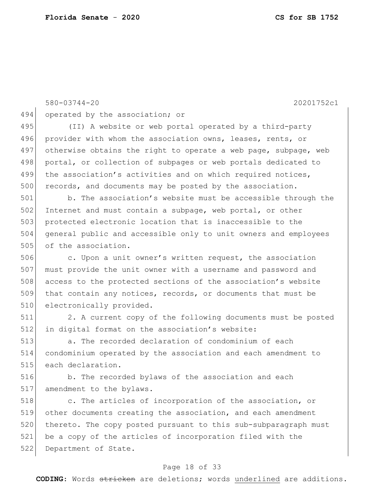580-03744-20 20201752c1 494 operated by the association; or 495 (II) A website or web portal operated by a third-party 496 provider with whom the association owns, leases, rents, or 497 otherwise obtains the right to operate a web page, subpage, web 498 portal, or collection of subpages or web portals dedicated to 499 the association's activities and on which required notices, 500 records, and documents may be posted by the association. 501 b. The association's website must be accessible through the 502 Internet and must contain a subpage, web portal, or other 503 protected electronic location that is inaccessible to the 504 general public and accessible only to unit owners and employees 505 of the association. 506 c. Upon a unit owner's written request, the association 507 must provide the unit owner with a username and password and 508 access to the protected sections of the association's website 509 that contain any notices, records, or documents that must be 510 electronically provided. 511 2. A current copy of the following documents must be posted 512 in digital format on the association's website: 513 a. The recorded declaration of condominium of each 514 condominium operated by the association and each amendment to 515 each declaration. 516 b. The recorded bylaws of the association and each 517 amendment to the bylaws. 518 **c.** The articles of incorporation of the association, or 519 other documents creating the association, and each amendment 520 thereto. The copy posted pursuant to this sub-subparagraph must 521 be a copy of the articles of incorporation filed with the 522 Department of State.

#### Page 18 of 33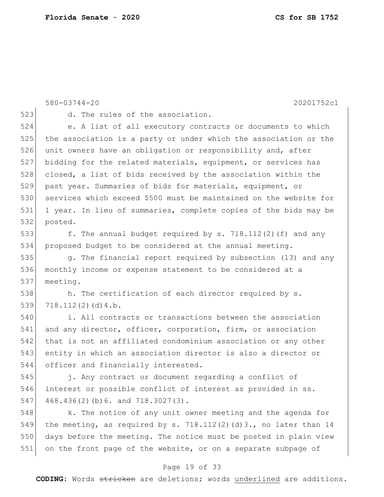580-03744-20 20201752c1 523 d. The rules of the association. 524 e. A list of all executory contracts or documents to which 525 the association is a party or under which the association or the 526 unit owners have an obligation or responsibility and, after 527 bidding for the related materials, equipment, or services has 528 closed, a list of bids received by the association within the 529 past year. Summaries of bids for materials, equipment, or 530 services which exceed \$500 must be maintained on the website for 531 1 year. In lieu of summaries, complete copies of the bids may be 532 posted. 533 f. The annual budget required by s. 718.112(2)(f) and any 534 proposed budget to be considered at the annual meeting. 535 g. The financial report required by subsection (13) and any 536 monthly income or expense statement to be considered at a 537 meeting. 538 h. The certification of each director required by s.  $539$  718.112(2)(d)4.b. 540 i. All contracts or transactions between the association 541 and any director, officer, corporation, firm, or association 542 that is not an affiliated condominium association or any other 543 entity in which an association director is also a director or 544 officer and financially interested. 545 j. Any contract or document regarding a conflict of 546 interest or possible conflict of interest as provided in ss.  $547$  468.436(2)(b)6. and 718.3027(3). 548 k. The notice of any unit owner meeting and the agenda for 549 the meeting, as required by s. 718.112(2)(d)3., no later than 14 550 days before the meeting. The notice must be posted in plain view 551 on the front page of the website, or on a separate subpage of

#### Page 19 of 33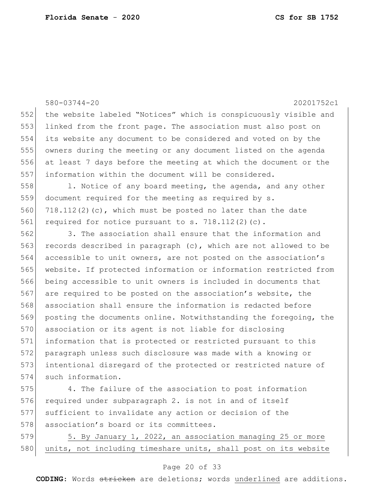|     | $580 - 03744 - 20$<br>20201752c1                                 |
|-----|------------------------------------------------------------------|
| 552 | the website labeled "Notices" which is conspicuously visible and |
| 553 | linked from the front page. The association must also post on    |
| 554 | its website any document to be considered and voted on by the    |
| 555 | owners during the meeting or any document listed on the agenda   |
| 556 | at least 7 days before the meeting at which the document or the  |
| 557 | information within the document will be considered.              |
| 558 | 1. Notice of any board meeting, the agenda, and any other        |
| 559 | document required for the meeting as required by s.              |
| 560 | $718.112(2)(c)$ , which must be posted no later than the date    |
| 561 | required for notice pursuant to s. $718.112(2)(c)$ .             |
| 562 | 3. The association shall ensure that the information and         |
| 563 | records described in paragraph (c), which are not allowed to be  |
| 564 | accessible to unit owners, are not posted on the association's   |
| 565 | website. If protected information or information restricted from |
| 566 | being accessible to unit owners is included in documents that    |
| 567 | are required to be posted on the association's website, the      |
| 568 | association shall ensure the information is redacted before      |
| 569 | posting the documents online. Notwithstanding the foregoing, the |
| 570 | association or its agent is not liable for disclosing            |
| 571 | information that is protected or restricted pursuant to this     |
| 572 | paragraph unless such disclosure was made with a knowing or      |
| 573 | intentional disregard of the protected or restricted nature of   |
| 574 | such information.                                                |
| 575 | 4. The failure of the association to post information            |
| 576 | required under subparagraph 2, is not in and of itself           |

 required under subparagraph 2. is not in and of itself sufficient to invalidate any action or decision of the 578 association's board or its committees.

579 5. By January 1, 2022, an association managing 25 or more 580 units, not including timeshare units, shall post on its website

### Page 20 of 33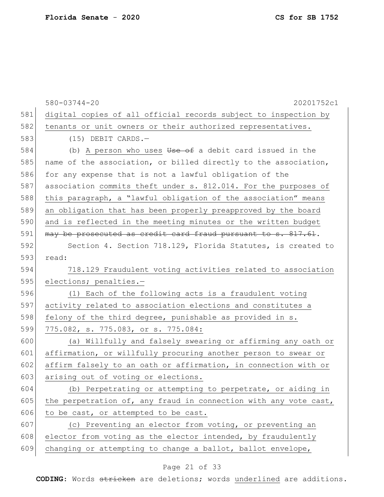|     | $580 - 03744 - 20$<br>20201752c1                                 |
|-----|------------------------------------------------------------------|
| 581 | digital copies of all official records subject to inspection by  |
| 582 | tenants or unit owners or their authorized representatives.      |
| 583 | $(15)$ DEBIT CARDS.-                                             |
| 584 | (b) A person who uses Use of a debit card issued in the          |
| 585 | name of the association, or billed directly to the association,  |
| 586 | for any expense that is not a lawful obligation of the           |
| 587 | association commits theft under s. 812.014. For the purposes of  |
| 588 | this paragraph, a "lawful obligation of the association" means   |
| 589 | an obligation that has been properly preapproved by the board    |
| 590 | and is reflected in the meeting minutes or the written budget    |
| 591 | may be prosecuted as credit card fraud pursuant to s. 817.61.    |
| 592 | Section 4. Section 718.129, Florida Statutes, is created to      |
| 593 | read:                                                            |
| 594 | 718.129 Fraudulent voting activities related to association      |
| 595 | elections; penalties.-                                           |
| 596 | (1) Each of the following acts is a fraudulent voting            |
| 597 | activity related to association elections and constitutes a      |
| 598 | felony of the third degree, punishable as provided in s.         |
| 599 | 775.082, s. 775.083, or s. 775.084:                              |
| 600 | (a) Willfully and falsely swearing or affirming any oath or      |
| 601 | affirmation, or willfully procuring another person to swear or   |
| 602 | affirm falsely to an oath or affirmation, in connection with or  |
| 603 | arising out of voting or elections.                              |
| 604 | (b) Perpetrating or attempting to perpetrate, or aiding in       |
| 605 | the perpetration of, any fraud in connection with any vote cast, |
| 606 | to be cast, or attempted to be cast.                             |
| 607 | (c) Preventing an elector from voting, or preventing an          |
| 608 | elector from voting as the elector intended, by fraudulently     |
| 609 | changing or attempting to change a ballot, ballot envelope,      |

## Page 21 of 33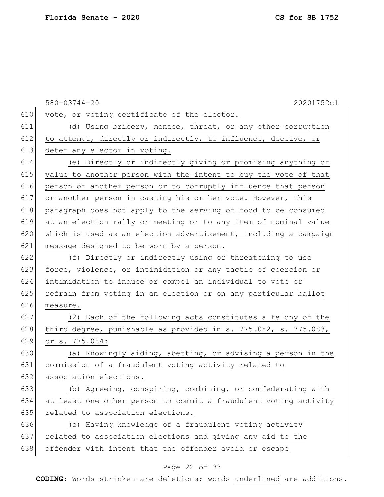|     | $580 - 03744 - 20$<br>20201752c1                                 |
|-----|------------------------------------------------------------------|
| 610 | vote, or voting certificate of the elector.                      |
| 611 | (d) Using bribery, menace, threat, or any other corruption       |
| 612 | to attempt, directly or indirectly, to influence, deceive, or    |
| 613 | deter any elector in voting.                                     |
| 614 | (e) Directly or indirectly giving or promising anything of       |
| 615 | value to another person with the intent to buy the vote of that  |
| 616 | person or another person or to corruptly influence that person   |
| 617 | or another person in casting his or her vote. However, this      |
| 618 | paragraph does not apply to the serving of food to be consumed   |
| 619 | at an election rally or meeting or to any item of nominal value  |
| 620 | which is used as an election advertisement, including a campaign |
| 621 | message designed to be worn by a person.                         |
| 622 | (f) Directly or indirectly using or threatening to use           |
| 623 | force, violence, or intimidation or any tactic of coercion or    |
| 624 | intimidation to induce or compel an individual to vote or        |
| 625 | refrain from voting in an election or on any particular ballot   |
| 626 | measure.                                                         |
| 627 | (2) Each of the following acts constitutes a felony of the       |
| 628 | third degree, punishable as provided in s. 775.082, s. 775.083,  |
| 629 | or s. 775.084:                                                   |
| 630 | (a) Knowingly aiding, abetting, or advising a person in the      |
| 631 | commission of a fraudulent voting activity related to            |
| 632 | association elections.                                           |
| 633 | (b) Agreeing, conspiring, combining, or confederating with       |
| 634 | at least one other person to commit a fraudulent voting activity |
| 635 | related to association elections.                                |
| 636 | (c) Having knowledge of a fraudulent voting activity             |
| 637 | related to association elections and giving any aid to the       |
| 638 | offender with intent that the offender avoid or escape           |

## Page 22 of 33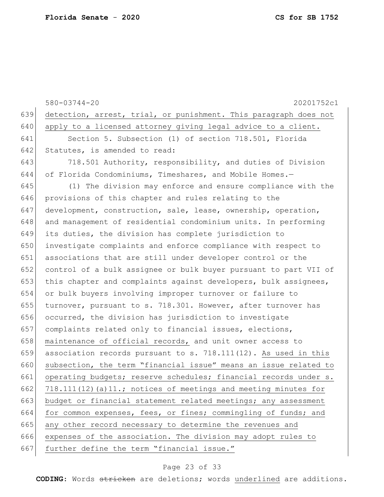580-03744-20 20201752c1 639 detection, arrest, trial, or punishment. This paragraph does not 640 apply to a licensed attorney giving legal advice to a client. 641 Section 5. Subsection (1) of section 718.501, Florida 642 Statutes, is amended to read: 643 718.501 Authority, responsibility, and duties of Division 644 of Florida Condominiums, Timeshares, and Mobile Homes.— 645 (1) The division may enforce and ensure compliance with the 646 provisions of this chapter and rules relating to the 647 development, construction, sale, lease, ownership, operation, 648 and management of residential condominium units. In performing 649 its duties, the division has complete jurisdiction to 650 investigate complaints and enforce compliance with respect to 651 associations that are still under developer control or the 652 control of a bulk assignee or bulk buyer pursuant to part VII of 653 this chapter and complaints against developers, bulk assignees, 654 or bulk buyers involving improper turnover or failure to 655 turnover, pursuant to s. 718.301. However, after turnover has 656 occurred, the division has jurisdiction to investigate 657 complaints related only to financial issues, elections, 658 maintenance of official records, and unit owner access to 659 association records pursuant to s.  $718.111(12)$ . As used in this 660 subsection, the term "financial issue" means an issue related to 661 operating budgets; reserve schedules; financial records under s. 662 718.111(12)(a)11.; notices of meetings and meeting minutes for 663 budget or financial statement related meetings; any assessment 664 for common expenses, fees, or fines; commingling of funds; and 665 any other record necessary to determine the revenues and 666 expenses of the association. The division may adopt rules to 667 further define the term "financial issue."

#### Page 23 of 33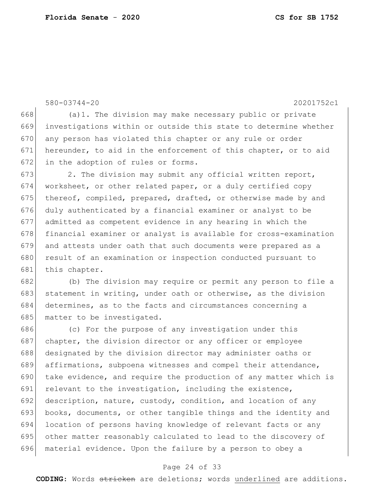580-03744-20 20201752c1 668 (a)1. The division may make necessary public or private 669 investigations within or outside this state to determine whether 670 any person has violated this chapter or any rule or order 671 hereunder, to aid in the enforcement of this chapter, or to aid 672 in the adoption of rules or forms. 673 2. The division may submit any official written report, 674 worksheet, or other related paper, or a duly certified copy 675 thereof, compiled, prepared, drafted, or otherwise made by and 676 duly authenticated by a financial examiner or analyst to be 677 admitted as competent evidence in any hearing in which the 678 financial examiner or analyst is available for cross-examination 679 and attests under oath that such documents were prepared as a 680 result of an examination or inspection conducted pursuant to 681 this chapter. 682 (b) The division may require or permit any person to file a 683 statement in writing, under oath or otherwise, as the division 684 determines, as to the facts and circumstances concerning a 685 matter to be investigated. 686 (c) For the purpose of any investigation under this 687 chapter, the division director or any officer or employee 688 designated by the division director may administer oaths or 689 affirmations, subpoena witnesses and compel their attendance, 690 take evidence, and require the production of any matter which is 691 relevant to the investigation, including the existence, 692 description, nature, custody, condition, and location of any 693 books, documents, or other tangible things and the identity and 694 location of persons having knowledge of relevant facts or any 695 other matter reasonably calculated to lead to the discovery of 696 material evidence. Upon the failure by a person to obey a

#### Page 24 of 33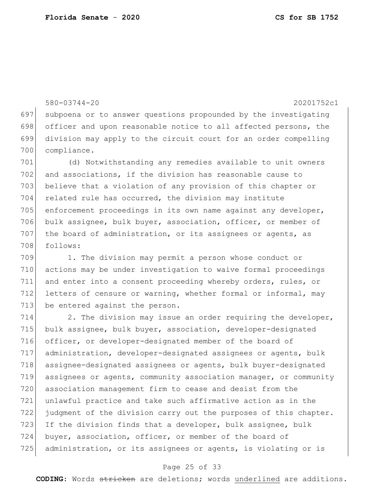```
580-03744-20 20201752c1
697 subpoena or to answer questions propounded by the investigating 
698 officer and upon reasonable notice to all affected persons, the
699 division may apply to the circuit court for an order compelling 
700 compliance.
701 (d) Notwithstanding any remedies available to unit owners 
702 and associations, if the division has reasonable cause to
703 believe that a violation of any provision of this chapter or
704 related rule has occurred, the division may institute
705 enforcement proceedings in its own name against any developer, 
706 bulk assignee, bulk buyer, association, officer, or member of
707 the board of administration, or its assignees or agents, as
708 follows:
709 1. The division may permit a person whose conduct or 
710 actions may be under investigation to waive formal proceedings 
711 and enter into a consent proceeding whereby orders, rules, or 
712 letters of censure or warning, whether formal or informal, may
713 be entered against the person.
714 2. The division may issue an order requiring the developer,
715 bulk assignee, bulk buyer, association, developer-designated 
716 officer, or developer-designated member of the board of 
717 administration, developer-designated assignees or agents, bulk 
718 assignee-designated assignees or agents, bulk buyer-designated 
719 assignees or agents, community association manager, or community 
720 association management firm to cease and desist from the 
721 unlawful practice and take such affirmative action as in the
```
 judgment of the division carry out the purposes of this chapter. 723 If the division finds that a developer, bulk assignee, bulk buyer, association, officer, or member of the board of administration, or its assignees or agents, is violating or is

#### Page 25 of 33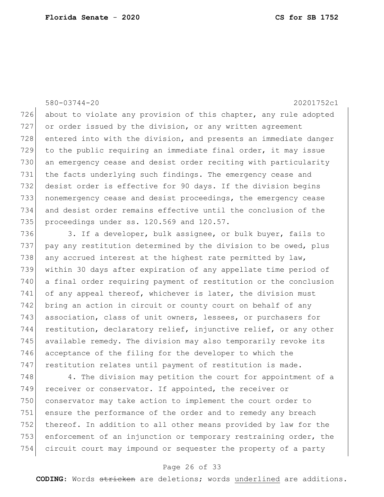#### 580-03744-20 20201752c1

726 about to violate any provision of this chapter, any rule adopted 727 or order issued by the division, or any written agreement 728 entered into with the division, and presents an immediate danger 729 to the public requiring an immediate final order, it may issue 730 an emergency cease and desist order reciting with particularity 731 the facts underlying such findings. The emergency cease and 732 desist order is effective for 90 days. If the division begins 733 nonemergency cease and desist proceedings, the emergency cease 734 and desist order remains effective until the conclusion of the 735 proceedings under ss. 120.569 and 120.57.

736 3. If a developer, bulk assignee, or bulk buyer, fails to 737 pay any restitution determined by the division to be owed, plus 738 any accrued interest at the highest rate permitted by law, 739 within 30 days after expiration of any appellate time period of 740 a final order requiring payment of restitution or the conclusion 741 of any appeal thereof, whichever is later, the division must 742 bring an action in circuit or county court on behalf of any 743 association, class of unit owners, lessees, or purchasers for 744 restitution, declaratory relief, injunctive relief, or any other 745 available remedy. The division may also temporarily revoke its 746 acceptance of the filing for the developer to which the 747 restitution relates until payment of restitution is made.

748 4. The division may petition the court for appointment of a 749 receiver or conservator. If appointed, the receiver or 750 conservator may take action to implement the court order to 751 ensure the performance of the order and to remedy any breach 752 thereof. In addition to all other means provided by law for the 753 enforcement of an injunction or temporary restraining order, the 754 circuit court may impound or sequester the property of a party

#### Page 26 of 33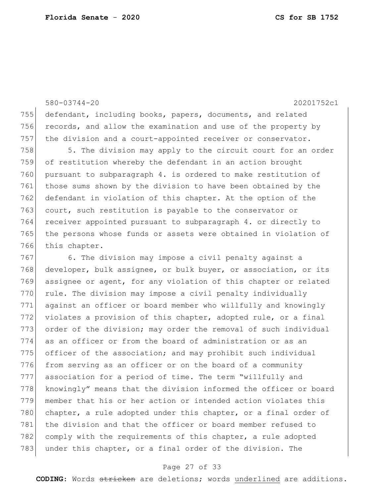580-03744-20 20201752c1 755 defendant, including books, papers, documents, and related 756 records, and allow the examination and use of the property by 757 the division and a court-appointed receiver or conservator.

758 5. The division may apply to the circuit court for an order of restitution whereby the defendant in an action brought pursuant to subparagraph 4. is ordered to make restitution of those sums shown by the division to have been obtained by the 762 defendant in violation of this chapter. At the option of the 763 court, such restitution is payable to the conservator or receiver appointed pursuant to subparagraph 4. or directly to the persons whose funds or assets were obtained in violation of this chapter.

767 6. The division may impose a civil penalty against a 768 developer, bulk assignee, or bulk buyer, or association, or its 769 assignee or agent, for any violation of this chapter or related 770 rule. The division may impose a civil penalty individually 771 against an officer or board member who willfully and knowingly 772 violates a provision of this chapter, adopted rule, or a final 773 order of the division; may order the removal of such individual 774 as an officer or from the board of administration or as an 775 officer of the association; and may prohibit such individual 776 from serving as an officer or on the board of a community 777 association for a period of time. The term "willfully and 778 knowingly" means that the division informed the officer or board 779 member that his or her action or intended action violates this 780 chapter, a rule adopted under this chapter, or a final order of 781 the division and that the officer or board member refused to 782 comply with the requirements of this chapter, a rule adopted 783 under this chapter, or a final order of the division. The

#### Page 27 of 33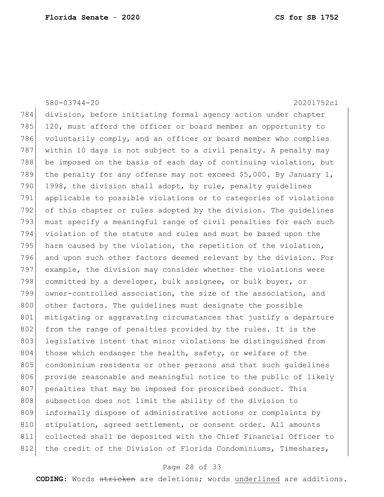|     | $580 - 03744 - 20$<br>20201752c1                                  |
|-----|-------------------------------------------------------------------|
| 784 | division, before initiating formal agency action under chapter    |
| 785 | 120, must afford the officer or board member an opportunity to    |
| 786 | voluntarily comply, and an officer or board member who complies   |
| 787 | within 10 days is not subject to a civil penalty. A penalty may   |
| 788 | be imposed on the basis of each day of continuing violation, but  |
| 789 | the penalty for any offense may not exceed \$5,000. By January 1, |
| 790 | 1998, the division shall adopt, by rule, penalty quidelines       |
| 791 | applicable to possible violations or to categories of violations  |
| 792 | of this chapter or rules adopted by the division. The quidelines  |
| 793 | must specify a meaningful range of civil penalties for each such  |
| 794 | violation of the statute and rules and must be based upon the     |
| 795 | harm caused by the violation, the repetition of the violation,    |
| 796 | and upon such other factors deemed relevant by the division. For  |
| 797 | example, the division may consider whether the violations were    |
| 798 | committed by a developer, bulk assignee, or bulk buyer, or        |
| 799 | owner-controlled association, the size of the association, and    |
| 800 | other factors. The quidelines must designate the possible         |
| 801 | mitigating or aggravating circumstances that justify a departure  |
| 802 | from the range of penalties provided by the rules. It is the      |
| 803 | legislative intent that minor violations be distinguished from    |
| 804 | those which endanger the health, safety, or welfare of the        |
| 805 | condominium residents or other persons and that such quidelines   |
| 806 | provide reasonable and meaningful notice to the public of likely  |
| 807 | penalties that may be imposed for proscribed conduct. This        |
| 808 | subsection does not limit the ability of the division to          |
| 809 | informally dispose of administrative actions or complaints by     |
| 810 | stipulation, agreed settlement, or consent order. All amounts     |
| 811 | collected shall be deposited with the Chief Financial Officer to  |
| 812 | the credit of the Division of Florida Condominiums, Timeshares,   |

## Page 28 of 33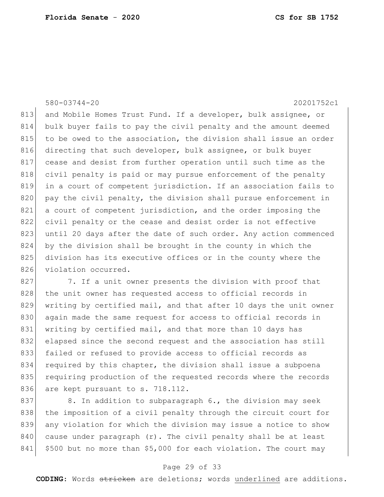580-03744-20 20201752c1

813 and Mobile Homes Trust Fund. If a developer, bulk assignee, or 814 bulk buyer fails to pay the civil penalty and the amount deemed 815 to be owed to the association, the division shall issue an order 816 directing that such developer, bulk assignee, or bulk buyer 817 cease and desist from further operation until such time as the 818 civil penalty is paid or may pursue enforcement of the penalty 819 in a court of competent jurisdiction. If an association fails to 820 pay the civil penalty, the division shall pursue enforcement in 821 a court of competent jurisdiction, and the order imposing the 822 civil penalty or the cease and desist order is not effective 823 until 20 days after the date of such order. Any action commenced 824 by the division shall be brought in the county in which the 825 division has its executive offices or in the county where the 826 violation occurred.

827 7. If a unit owner presents the division with proof that 828 the unit owner has requested access to official records in 829 writing by certified mail, and that after 10 days the unit owner 830 again made the same request for access to official records in 831 writing by certified mail, and that more than 10 days has 832 elapsed since the second request and the association has still 833 failed or refused to provide access to official records as 834 required by this chapter, the division shall issue a subpoena 835 requiring production of the requested records where the records 836 are kept pursuant to s. 718.112.

837 8. In addition to subparagraph 6., the division may seek 838 the imposition of a civil penalty through the circuit court for 839 any violation for which the division may issue a notice to show  $840$  cause under paragraph  $(r)$ . The civil penalty shall be at least 841 \$500 but no more than \$5,000 for each violation. The court may

#### Page 29 of 33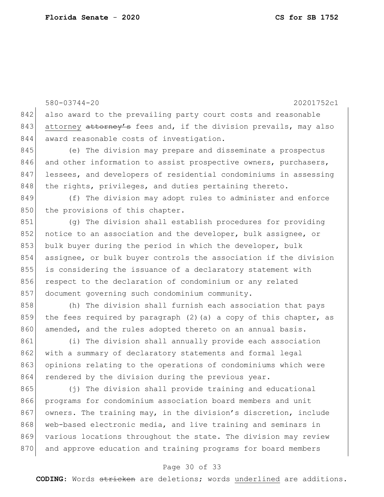580-03744-20 20201752c1 842 also award to the prevailing party court costs and reasonable 843 attorney attorney's fees and, if the division prevails, may also 844 award reasonable costs of investigation. 845 (e) The division may prepare and disseminate a prospectus 846 and other information to assist prospective owners, purchasers, 847 lessees, and developers of residential condominiums in assessing 848 | the rights, privileges, and duties pertaining thereto. 849 (f) The division may adopt rules to administer and enforce 850 the provisions of this chapter. 851 (g) The division shall establish procedures for providing 852 notice to an association and the developer, bulk assignee, or 853 bulk buyer during the period in which the developer, bulk 854 assignee, or bulk buyer controls the association if the division 855 is considering the issuance of a declaratory statement with 856 respect to the declaration of condominium or any related 857 document governing such condominium community. 858 (h) The division shall furnish each association that pays 859 the fees required by paragraph (2) (a) a copy of this chapter, as 860 amended, and the rules adopted thereto on an annual basis. 861 (i) The division shall annually provide each association 862 with a summary of declaratory statements and formal legal 863 opinions relating to the operations of condominiums which were 864 rendered by the division during the previous year. 865 (j) The division shall provide training and educational 866 programs for condominium association board members and unit 867 owners. The training may, in the division's discretion, include 868 web-based electronic media, and live training and seminars in 869 various locations throughout the state. The division may review 870 and approve education and training programs for board members

#### Page 30 of 33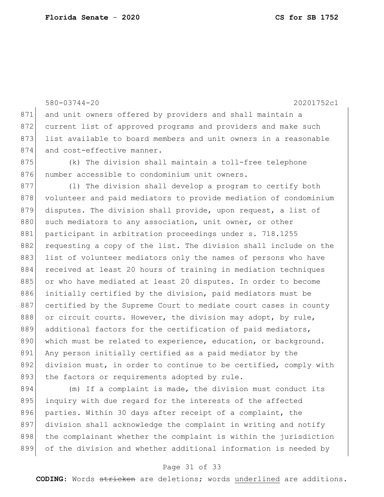580-03744-20 20201752c1 871 and unit owners offered by providers and shall maintain a 872 current list of approved programs and providers and make such 873 list available to board members and unit owners in a reasonable 874 and cost-effective manner. 875 (k) The division shall maintain a toll-free telephone 876 number accessible to condominium unit owners. 877 (1) The division shall develop a program to certify both 878 volunteer and paid mediators to provide mediation of condominium 879 disputes. The division shall provide, upon request, a list of 880 such mediators to any association, unit owner, or other 881 participant in arbitration proceedings under s. 718.1255 882 requesting a copy of the list. The division shall include on the 883 list of volunteer mediators only the names of persons who have 884 received at least 20 hours of training in mediation techniques 885 or who have mediated at least 20 disputes. In order to become 886 initially certified by the division, paid mediators must be 887 certified by the Supreme Court to mediate court cases in county 888 or circuit courts. However, the division may adopt, by rule, 889 additional factors for the certification of paid mediators, 890 which must be related to experience, education, or background. 891 Any person initially certified as a paid mediator by the 892 division must, in order to continue to be certified, comply with 893 the factors or requirements adopted by rule.

894 (m) If a complaint is made, the division must conduct its 895 inquiry with due regard for the interests of the affected 896 parties. Within 30 days after receipt of a complaint, the 897 division shall acknowledge the complaint in writing and notify 898 the complainant whether the complaint is within the jurisdiction 899 of the division and whether additional information is needed by

#### Page 31 of 33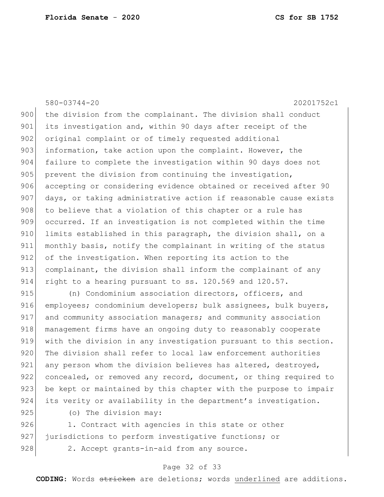580-03744-20 20201752c1 900 the division from the complainant. The division shall conduct 901 its investigation and, within 90 days after receipt of the 902 original complaint or of timely requested additional 903 information, take action upon the complaint. However, the 904 failure to complete the investigation within 90 days does not 905 prevent the division from continuing the investigation, 906 accepting or considering evidence obtained or received after 90 907 days, or taking administrative action if reasonable cause exists 908 to believe that a violation of this chapter or a rule has 909 occurred. If an investigation is not completed within the time 910 limits established in this paragraph, the division shall, on a 911 monthly basis, notify the complainant in writing of the status 912 of the investigation. When reporting its action to the 913 complainant, the division shall inform the complainant of any 914 right to a hearing pursuant to ss. 120.569 and 120.57. 915 (n) Condominium association directors, officers, and

916 employees; condominium developers; bulk assignees, bulk buyers, 917 and community association managers; and community association 918 management firms have an ongoing duty to reasonably cooperate 919 with the division in any investigation pursuant to this section. 920 The division shall refer to local law enforcement authorities 921 any person whom the division believes has altered, destroyed, 922 concealed, or removed any record, document, or thing required to 923 be kept or maintained by this chapter with the purpose to impair 924 its verity or availability in the department's investigation.

925 (o) The division may:

926 1. Contract with agencies in this state or other 927 jurisdictions to perform investigative functions; or 928 2. Accept grants-in-aid from any source.

#### Page 32 of 33